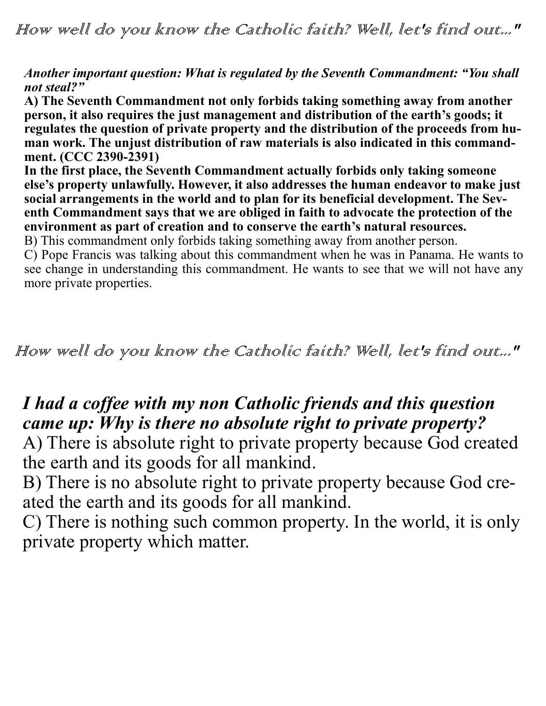How well do you know the Catholic faith? Well, let's find out..."

#### *Another important question: What is regulated by the Seventh Commandment: "You shall not steal?"*

**A) The Seventh Commandment not only forbids taking something away from another person, it also requires the just management and distribution of the earth's goods; it regulates the question of private property and the distribution of the proceeds from human work. The unjust distribution of raw materials is also indicated in this commandment. (CCC 2390-2391)**

**In the first place, the Seventh Commandment actually forbids only taking someone else's property unlawfully. However, it also addresses the human endeavor to make just social arrangements in the world and to plan for its beneficial development. The Seventh Commandment says that we are obliged in faith to advocate the protection of the environment as part of creation and to conserve the earth's natural resources.**

B) This commandment only forbids taking something away from another person.

C) Pope Francis was talking about this commandment when he was in Panama. He wants to see change in understanding this commandment. He wants to see that we will not have any more private properties.

How well do you know the Catholic faith? Well, let's find out..."

## *I had a coffee with my non Catholic friends and this question came up: Why is there no absolute right to private property?*

A) There is absolute right to private property because God created the earth and its goods for all mankind.

B) There is no absolute right to private property because God created the earth and its goods for all mankind.

C) There is nothing such common property. In the world, it is only private property which matter.